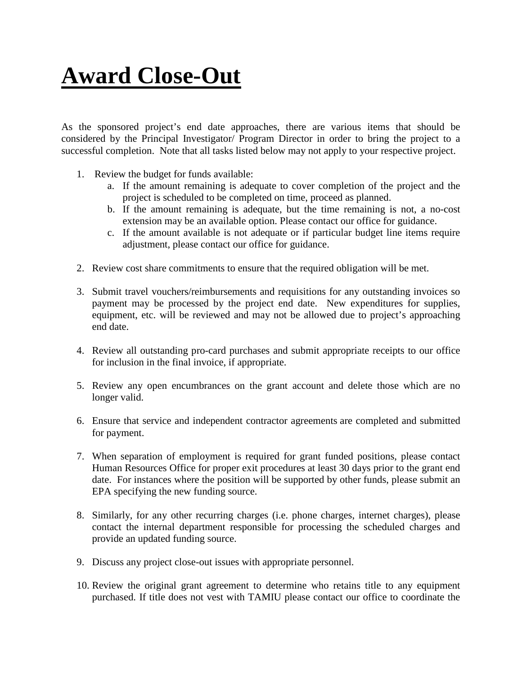## **Award Close-Out**

As the sponsored project's end date approaches, there are various items that should be considered by the Principal Investigator/ Program Director in order to bring the project to a successful completion. Note that all tasks listed below may not apply to your respective project.

- 1. Review the budget for funds available:
	- a. If the amount remaining is adequate to cover completion of the project and the project is scheduled to be completed on time, proceed as planned.
	- b. If the amount remaining is adequate, but the time remaining is not, a no-cost extension may be an available option. Please contact our office for guidance.
	- c. If the amount available is not adequate or if particular budget line items require adjustment, please contact our office for guidance.
- 2. Review cost share commitments to ensure that the required obligation will be met.
- 3. Submit travel vouchers/reimbursements and requisitions for any outstanding invoices so payment may be processed by the project end date. New expenditures for supplies, equipment, etc. will be reviewed and may not be allowed due to project's approaching end date.
- 4. Review all outstanding pro-card purchases and submit appropriate receipts to our office for inclusion in the final invoice, if appropriate.
- 5. Review any open encumbrances on the grant account and delete those which are no longer valid.
- 6. Ensure that service and independent contractor agreements are completed and submitted for payment.
- 7. When separation of employment is required for grant funded positions, please contact Human Resources Office for proper exit procedures at least 30 days prior to the grant end date. For instances where the position will be supported by other funds, please submit an EPA specifying the new funding source.
- 8. Similarly, for any other recurring charges (i.e. phone charges, internet charges), please contact the internal department responsible for processing the scheduled charges and provide an updated funding source.
- 9. Discuss any project close-out issues with appropriate personnel.
- 10. Review the original grant agreement to determine who retains title to any equipment purchased. If title does not vest with TAMIU please contact our office to coordinate the